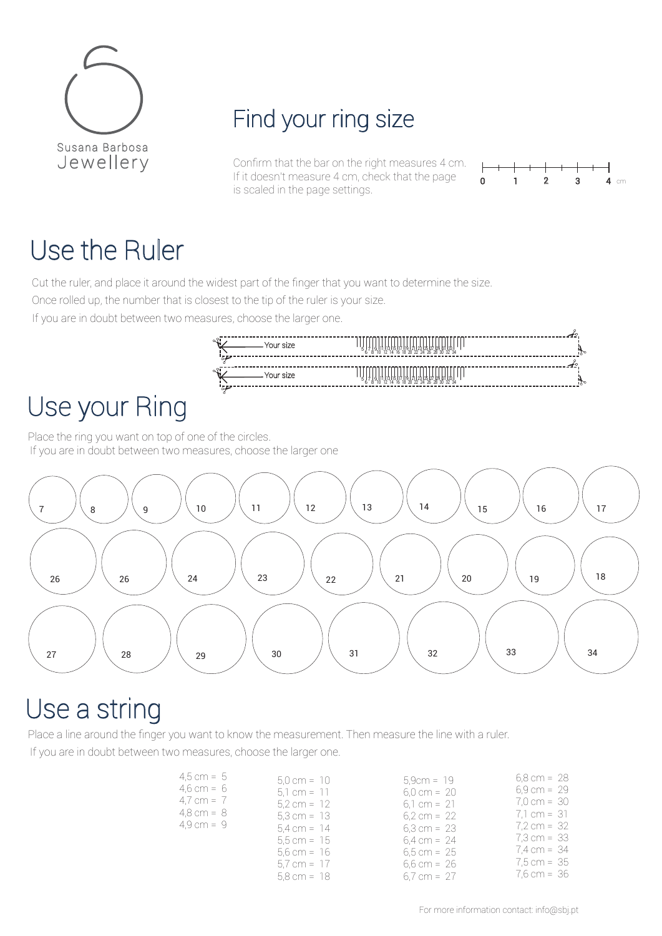

# Find your ring size

Confirm that the bar on the right measures 4 cm. If it doesn't measure 4 cm, check that the page is scaled in the page settings.

> 7 8 ر 11 1<sub>1</sub><br>12 10 13 I<br>2 14 115 |<br>4 16 117 I<br>6 18 19121<br>8202  $^{1123}_{22}$ 31251271.<br>242628 29 E<br>8 30 131 IS<br>0 32 5127 129 131 133 1<br>26 28 30 32 34

> 7 8 ر<br>17 10 12 1314 115 ||<br>4 17.II<br>6 19121<br>8 20  $^{1123}_{22}$ 3125127<br>24 26 28 2930 81 J.<br>0 5127 129 131 133 1<br>26 28 30 32 34



## Use the Ruler

Cut the ruler, and place it around the widest part of the finger that you want to determine the size.

- Your size

<sup>5</sup> Your size <sup>6</sup>

Once rolled up, the number that is closest to the tip of the ruler is your size.

If you are in doubt between two measures, choose the larger one.

# Use your Ring

Place the ring you want on top of one of the circles. If you are in doubt between two measures, choose the larger one



## Use a string

Place a line around the finger you want to know the measurement. Then measure the line with a ruler. If you are in doubt between two measures, choose the larger one.

| $4.5 cm = 5$         | $5.0 \text{ cm} = 10$ | $5.9cm = 19$          | $6,8$ cm = 28         |
|----------------------|-----------------------|-----------------------|-----------------------|
| $4.6 cm = 6$         | $5.1 cm = 11$         | $6.0 \text{ cm} = 20$ | $6,9$ cm = 29         |
| 4,7 cm = $7$         | $5.2 \text{ cm} = 12$ | $6.1 cm = 21$         | $7.0 \text{ cm} = 30$ |
| $4.8 \text{ cm} = 8$ | $5.3 cm = 13$         | $6.2 \text{ cm} = 22$ | $7.1 cm = 31$         |
| $4.9 \text{ cm} = 9$ | $5.4 \text{ cm} = 14$ | $6.3 \text{ cm} = 23$ | $7.2 \text{ cm} = 32$ |
|                      | $5.5 cm = 15$         | $6.4 \text{ cm} = 24$ | 7,3 cm = 33           |
|                      | $5.6 cm = 16$         | $6.5 \text{ cm} = 25$ | $7.4 \text{ cm} = 34$ |
|                      | $5.7 cm = 17$         | $6.6 \text{ cm} = 26$ | $7.5 \text{ cm} = 35$ |
|                      | $5.8 \text{ cm} = 18$ | $6.7 \text{ cm} = 27$ | $7,6$ cm = 36         |